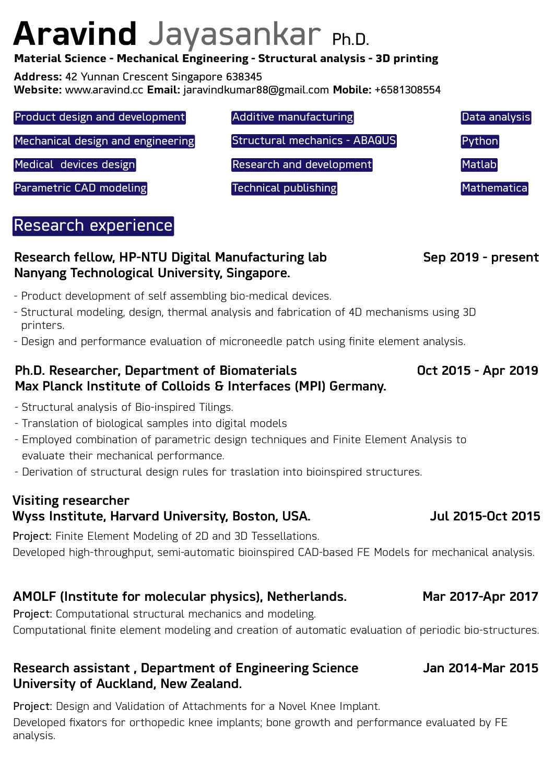# **Aravind** Jayasankar Ph.D.

#### **Material Science - Mechanical Engineering - Structural analysis - 3D printing**

**Address:** 42 Yunnan Crescent Singapore 638345

**Website:** www.aravind.cc **Email:** jaravindkumar88@gmail.com **Mobile:** +6581308554

| Product design and development    | Additive manufacturing               | Data analysis |
|-----------------------------------|--------------------------------------|---------------|
| Mechanical design and engineering | <b>Structural mechanics - ABAQUS</b> | Python        |
| Medical devices design            | <b>Research and development</b>      | <b>Matlab</b> |
| Parametric CAD modeling           | Technical publishing                 | Mathematica   |

# Research experience

### Research fellow, HP-NTU Digital Manufacturing lab Sep 2019 - present Nanyang Technological University, Singapore.

- Product development of self assembling bio-medical devices.
- Structural modeling, design, thermal analysis and fabrication of 4D mechanisms using 3D printers.
- Design and performance evaluation of microneedle patch using finite element analysis.

#### Ph.D. Researcher, Department of Biomaterials **Communist Control** Cot 2015 - Apr 2019 Max Planck Institute of Colloids & Interfaces (MPI) Germany.

- Structural analysis of Bio-inspired Tilings.
- Translation of biological samples into digital models
- Employed combination of parametric design techniques and Finite Element Analysis to evaluate their mechanical performance.
- Derivation of structural design rules for traslation into bioinspired structures.

### Visiting researcher Wyss Institute, Harvard University, Boston, USA. The Mullet 2015-Oct 2015

Project: Finite Element Modeling of 2D and 3D Tessellations. Developed high-throughput, semi-automatic bioinspired CAD-based FE Models for mechanical analysis.

# AMOLF (Institute for molecular physics), Netherlands. Mar 2017-Apr 2017

Project: Computational structural mechanics and modeling. Computational finite element modeling and creation of automatic evaluation of periodic bio-structures.

#### Research assistant, Department of Engineering Science **Jan 2014-Mar 2015** University of Auckland, New Zealand.

Project: Design and Validation of Attachments for a Novel Knee Implant. Developed fixators for orthopedic knee implants; bone growth and performance evaluated by FE analysis.